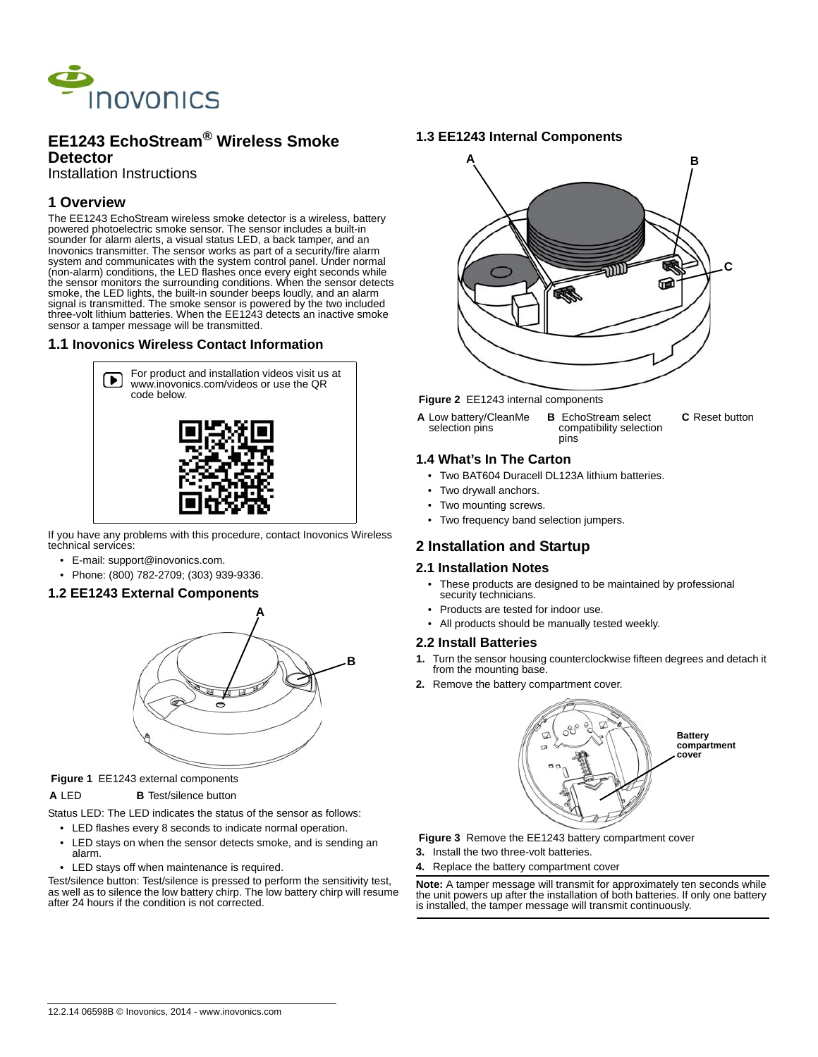

## **EE1243 EchoStream® Wireless Smoke Detector**

Installation Instructions

# **1 Overview**

The EE1243 EchoStream wireless smoke detector is a wireless, battery powered photoelectric smoke sensor. The sensor includes a built-in sounder for alarm alerts, a visual status LED, a back tamper, and an Inovonics transmitter. The sensor works as part of a security/fire alarm system and communicates with the system control panel. Under normal (non-alarm) conditions, the LED flashes once every eight seconds while the sensor monitors the surrounding conditions. When the sensor detects smoke, the LED lights, the built-in sounder beeps loudly, and an alarm signal is transmitted. The smoke sensor is powered by the two included three-volt lithium batteries. When the EE1243 detects an inactive smoke sensor a tamper message will be transmitted.

## **1.1 Inovonics Wireless Contact Information**



If you have any problems with this procedure, contact Inovonics Wireless technical services:

- E-mail: support@inovonics.com.
- Phone: (800) 782-2709; (303) 939-9336.

## **1.2 EE1243 External Components**



#### **Figure 1** EE1243 external components

#### **A** LED **B** Test/silence button

Status LED: The LED indicates the status of the sensor as follows:

- LED flashes every 8 seconds to indicate normal operation.
- LED stays on when the sensor detects smoke, and is sending an alarm.
- LED stays off when maintenance is required.

Test/silence button: Test/silence is pressed to perform the sensitivity test, as well as to silence the low battery chirp. The low battery chirp will resume after 24 hours if the condition is not corrected.

## **1.3 EE1243 Internal Components**



#### **Figure 2** EE1243 internal components

**A** Low battery/CleanMe selection pins **B** EchoStream select compatibility selection pins **C** Reset button

## **1.4 What's In The Carton**

- Two BAT604 Duracell DL123A lithium batteries.
- Two drywall anchors.
- Two mounting screws.
- Two frequency band selection jumpers.

## **2 Installation and Startup**

## **2.1 Installation Notes**

- These products are designed to be maintained by professional security technicians.
- Products are tested for indoor use.
- All products should be manually tested weekly.

## **2.2 Install Batteries**

- **1.** Turn the sensor housing counterclockwise fifteen degrees and detach it from the mounting base.
- **2.** Remove the battery compartment cover.



 **Figure 3** Remove the EE1243 battery compartment cover

- **3.** Install the two three-volt batteries.
- **4.** Replace the battery compartment cover

**Note:** A tamper message will transmit for approximately ten seconds while the unit powers up after the installation of both batteries. If only one battery is installed, the tamper message will transmit continuously.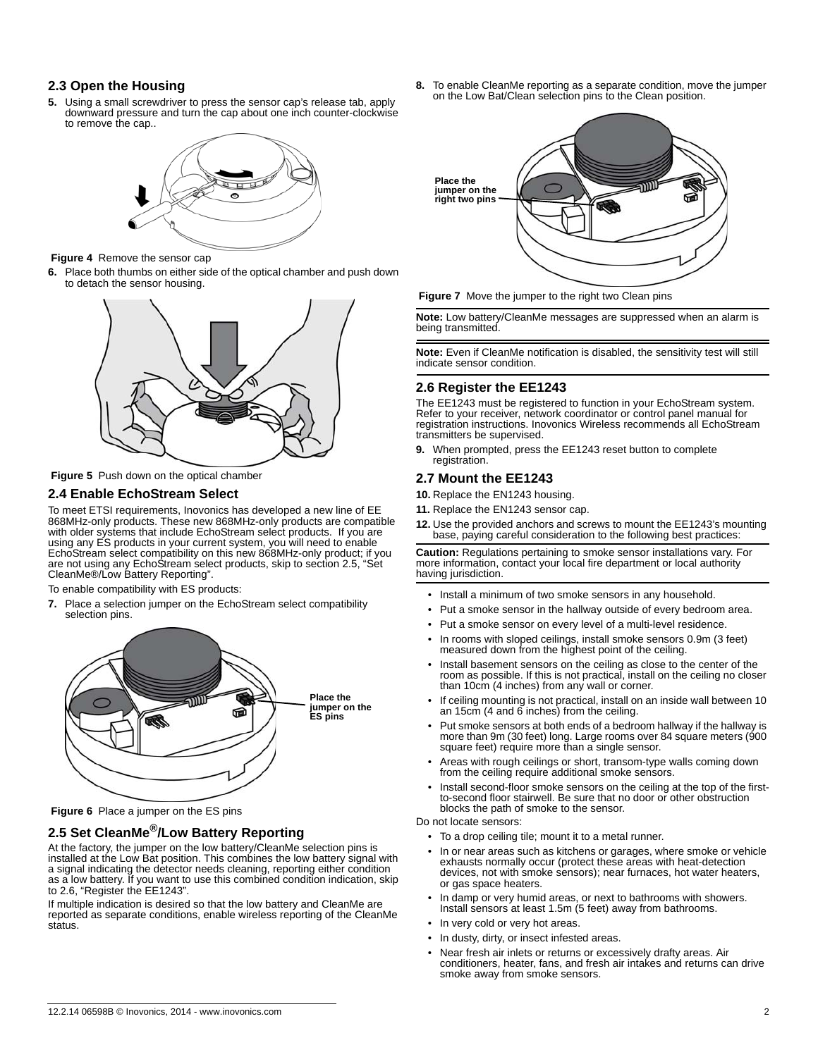## **2.3 Open the Housing**

**5.** Using a small screwdriver to press the sensor cap's release tab, apply downward pressure and turn the cap about one inch counter-clockwise to remove the cap..



#### **Figure 4** Remove the sensor cap

**6.** Place both thumbs on either side of the optical chamber and push down to detach the sensor housing.



 **Figure 5** Push down on the optical chamber

## **2.4 Enable EchoStream Select**

To meet ETSI requirements, Inovonics has developed a new line of EE 868MHz-only products. These new 868MHz-only products are compatible with older systems that include EchoStream select products. If you are using any ES products in your current system, you will need to enable EchoStream select compatibility on this new 868MHz-only product; if you are not using any EchoStream select products, skip to section 2.5, "Set CleanMe®/Low Battery Reporting".

To enable compatibility with ES products:

**7.** Place a selection jumper on the EchoStream select compatibility selection pins.



 **Figure 6** Place a jumper on the ES pins

# **2.5 Set CleanMe®/Low Battery Reporting**

At the factory, the jumper on the low battery/CleanMe selection pins is installed at the Low Bat position. This combines the low battery signal with a signal indicating the detector needs cleaning, reporting either condition as a low battery. If you want to use this combined condition indication, skip to 2.6, "Register the EE1243".

If multiple indication is desired so that the low battery and CleanMe are reported as separate conditions, enable wireless reporting of the CleanMe status.

**8.** To enable CleanMe reporting as a separate condition, move the jumper on the Low Bat/Clean selection pins to the Clean position.





**Note:** Low battery/CleanMe messages are suppressed when an alarm is being transmitted.

**Note:** Even if CleanMe notification is disabled, the sensitivity test will still indicate sensor condition.

## **2.6 Register the EE1243**

The EE1243 must be registered to function in your EchoStream system. Refer to your receiver, network coordinator or control panel manual for registration instructions. Inovonics Wireless recommends all EchoStream transmitters be supervised.

**9.** When prompted, press the EE1243 reset button to complete registration.

## **2.7 Mount the EE1243**

**10.** Replace the EN1243 housing.

- **11.** Replace the EN1243 sensor cap.
- **12.** Use the provided anchors and screws to mount the EE1243's mounting base, paying careful consideration to the following best practices:

**Caution:** Regulations pertaining to smoke sensor installations vary. For more information, contact your local fire department or local authority having jurisdiction.

- Install a minimum of two smoke sensors in any household.
- Put a smoke sensor in the hallway outside of every bedroom area.
- Put a smoke sensor on every level of a multi-level residence.
- In rooms with sloped ceilings, install smoke sensors 0.9m (3 feet) measured down from the highest point of the ceiling.
- Install basement sensors on the ceiling as close to the center of the room as possible. If this is not practical, install on the ceiling no closer than 10cm (4 inches) from any wall or corner.
- If ceiling mounting is not practical, install on an inside wall between 10 an 15cm (4 and 6 inches) from the ceiling.
- Put smoke sensors at both ends of a bedroom hallway if the hallway is more than 9m (30 feet) long. Large rooms over 84 square meters (900 square feet) require more than a single sensor.
- Areas with rough ceilings or short, transom-type walls coming down from the ceiling require additional smoke sensors.
- Install second-floor smoke sensors on the ceiling at the top of the firstto-second floor stairwell. Be sure that no door or other obstruction blocks the path of smoke to the sensor.

Do not locate sensors:

- To a drop ceiling tile; mount it to a metal runner.
- In or near areas such as kitchens or garages, where smoke or vehicle exhausts normally occur (protect these areas with heat-detection devices, not with smoke sensors); near furnaces, hot water heaters, or gas space heaters.
- In damp or very humid areas, or next to bathrooms with showers. Install sensors at least 1.5m (5 feet) away from bathrooms.
- In very cold or very hot areas.
- In dusty, dirty, or insect infested areas.
- Near fresh air inlets or returns or excessively drafty areas. Air conditioners, heater, fans, and fresh air intakes and returns can drive smoke away from smoke sensors.